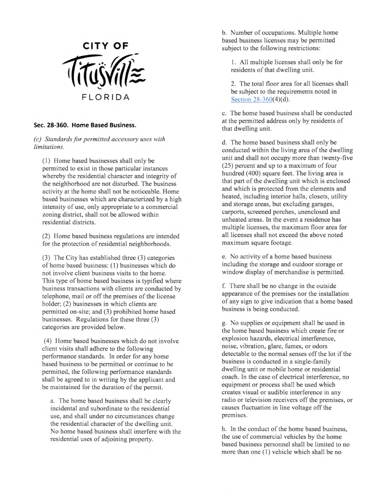

## Sec. 28-360. Home Based Business.

(c) Standards for permitted accessory uses with limitations.

(1) Home based businesses shall only be permitted to exist in those particular instances whereby the residential character and integrity of the neighborhood are not disturbed. The business activity at the home shall not be noticeable. Home based businesses which are characterized by a high intensity of use, only appropriate to a commercial zoning district, shall not be allowed within residential districts.

(2) Home based business regulations are intended for the protection of residential neighborhoods.

(3) The City has established three (3) categories of home based business: (1) businesses which do not involve client business visits to the home. This type of home based business is typified where business transactions with clients are conducted by telephone, mail or off the premises of the license holder; (2) businesses in which clients are permitted on-site; and (3) prohibited home based businesses. Regulations for these three (3) categories are provided below.

(4) Home based businesses which do not involve client visits shall adhere to the following performance standards. In order for any home based business to be permitted or continue to be permitted, the following performance standards shall be agreed to in writing by the applicant and be maintained for the duration of the permit.

a. The home based business shall be clearly incidental and subordinate to the residential use, and shall under no circumstances change the residential character of the dwelling unit. No home based business shall interfere with the residential uses of adjoining property.

b. Number of occupations. Multiple home based business licenses may be permitted subject to the following restrictions:

1. All multiple licenses shall only be for residents of that dwelling unit.

2. The total floor area for all licenses shall be subject to the requirements noted in Section 28-360(4)(d).

c. The home based business shall be conducted at the permitted address only by residents of that dwelling unit.

d. The home based business shall only be conducted within the living area of the dwelling unit and shall not occupy more than twenty-five (25) percent and up to a maximum of four hundred (400) square feet. The living area is that part of the dwelling unit which is enclosed and which is protected from the elements and heated, including interior halls, closets, utility and storage areas, but excluding garages, carports, screened porches, unenclosed and unheated areas. In the event a residence has multiple licenses, the maximum floor area for all licenses shall not exceed the above noted maximum square footage.

e. No activity of a home based business including the storage and outdoor storage or window display of merchandise is permitted.

f. There shall be no change in the outside appearance of the premises nor the installation of any sign to give indication that a home based business is being conducted.

g. No supplies or equipment shall be used in the home based business which create fire or explosion hazards, electrical interference, noise, vibration, glare, fumes, or odors detectable to the normal senses off the lot if the business is conducted in a single-family dwelling unit or mobile home or residential coach. In the case of electrical interference, no equipment or process shall be used which creates visual or audible interference in any radio or television receivers off the premises, or causes fluctuation in line voltage off the premises.

h. In the conduct of the home based business, the use of commercial vehicles by the home based business personnel shall be limited to no more than one (1) vehicle which shall be no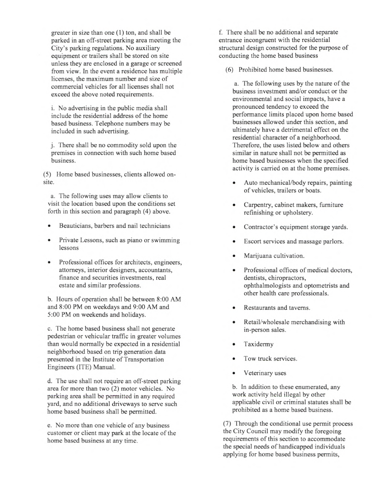greater in size than one (1) ton, and shall be parked in an off-street parking area meeting the City's parking regulations. No auxiliary equipment or trailers shall be stored on site unless they are enclosed in a garage or screened from view. In the event a residence has multiple licenses, the maximum number and size of commercial vehicles for all licenses shall not exceed the above noted requirements.

i. No advertising in the public media shall include the residential address of the home based business. Telephone numbers may be included in such advertising.

j. There shall be no commodity sold upon the premises in connection with such home based business.

(5) Home based businesses, clients allowed onsite.

a. The following uses may allow clients to visit the location based upon the conditions set forth in this section and paragraph (4) above.

- Beauticians, barbers and nail technicians
- Private Lessons, such as piano or swimming lessons
- Professional offices for architects, engineers, attorneys, interior designers, accountants, finance and securities investments, real estate and similar professions.

b. Hours of operation shall be between 8:00 AM and 8:00 PM on weekdays and 9:00 AM and 5:00 PM on weekends and holidays.

c. The home based business shall not generate pedestrian or vehicular traffic in greater volumes than would normally be expected in a residential neighborhood based on trip generation data presented in the Institute of Transportation Engineers (ITE) Manual.

d. The use shall not require an off-street parking area for more than two (2) motor vehicles. No parking area shall be permitted in any required yard, and no additional driveways to serve such home based business shall be permitted.

e. No more than one vehicle of any business customer or client may park at the locate of the home based business at any time.

f. There shall be no additional and separate entrance incongruent with the residential structural design constructed for the purpose of conducting the home based business

(6) Prohibited home based businesses.

a. The following uses by the nature of the business investment and/or conduct or the environmental and social impacts, have a pronounced tendency to exceed the performance limits placed upon home based businesses allowed under this section, and ultimately have a detrimental effect on the residential character of a neighborhood. Therefore, the uses listed below and others similar in nature shall not be permitted as home based businesses when the specified activity is carried on at the home premises.

- Auto mechanical/body repairs, painting of vehicles, trailers or boats.
- Carpentry, cabinet makers, furniture refinishing or upholstery.
- Contractor's equipment storage yards.
- Escort services and massage parlors.
- Marijuana cultivation.
- Professional offices of medical doctors, dentists, chiropractors, ophthalmologists and optometrists and other health care professionals.
- Restaurants and taverns.
- Retail/wholesale merchandising with in-person sales.
- **Taxidermy**
- Tow truck services.
- Veterinary uses

b. In addition to these enumerated, any work activity held illegal by other applicable civil or criminal statutes shall be prohibited as a home based business.

(7) Through the conditional use permit process the City Council may modify the foregoing requirements of this section to accommodate the special needs of handicapped individuals applying for home based business permits,